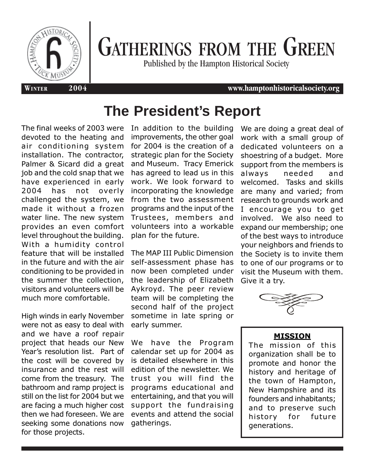

# GATHERINGS FROM THE GREEN

Published by the Hampton Historical Society

#### **WINTER 2004 www.hamptonhistoricalsociety.org**

# **The President's Report**

The final weeks of 2003 were devoted to the heating and air conditioning system installation. The contractor, Palmer & Sicard did a great job and the cold snap that we have experienced in early 2004 has not overly challenged the system, we made it without a frozen water line. The new system provides an even comfort level throughout the building. With a humidity control feature that will be installed in the future and with the air conditioning to be provided in the summer the collection, visitors and volunteers will be much more comfortable.

High winds in early November were not as easy to deal with and we have a roof repair project that heads our New Year's resolution list. Part of the cost will be covered by insurance and the rest will come from the treasury. The bathroom and ramp project is still on the list for 2004 but we are facing a much higher cost then we had foreseen. We are seeking some donations now for those projects.

In addition to the building improvements, the other goal for 2004 is the creation of a strategic plan for the Society and Museum. Tracy Emerick has agreed to lead us in this work. We look forward to incorporating the knowledge from the two assessment programs and the input of the Trustees, members and volunteers into a workable plan for the future.

The MAP III Public Dimension self-assessment phase has now been completed under the leadership of Elizabeth Aykroyd. The peer review team will be completing the second half of the project sometime in late spring or early summer.

We have the Program calendar set up for 2004 as is detailed elsewhere in this edition of the newsletter. We trust you will find the programs educational and entertaining, and that you will support the fundraising events and attend the social gatherings.

We are doing a great deal of work with a small group of dedicated volunteers on a shoestring of a budget. More support from the members is always needed and welcomed. Tasks and skills are many and varied; from research to grounds work and I encourage you to get involved. We also need to expand our membership; one of the best ways to introduce your neighbors and friends to the Society is to invite them to one of our programs or to visit the Museum with them. Give it a try.



#### **MISSION**

The mission of this organization shall be to promote and honor the history and heritage of the town of Hampton, New Hampshire and its founders and inhabitants; and to preserve such history for future generations.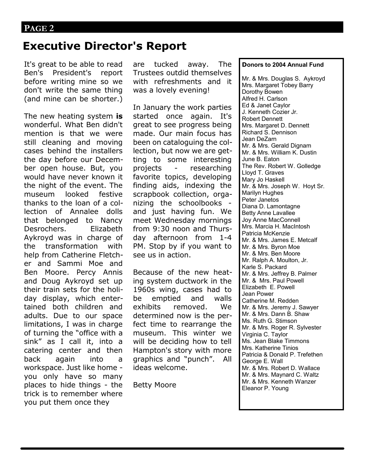### **PAGE 2**

### **Executive Director's Report**

It's great to be able to read Ben's President's report before writing mine so we don't write the same thing (and mine can be shorter.)

The new heating system **is**  wonderful. What Ben didn't mention is that we were still cleaning and moving cases behind the installers the day before our December open house. But, you would have never known it the night of the event. The museum looked festive thanks to the loan of a collection of Annalee dolls that belonged to Nancy Desrochers. Elizabeth Aykroyd was in charge of the transformation with help from Catherine Fletcher and Sammi Moe and Ben Moore. Percy Annis and Doug Aykroyd set up their train sets for the holiday display, which entertained both children and adults. Due to our space limitations, I was in charge of turning the "office with a sink" as I call it, into a catering center and then back again into a workspace. Just like home you only have so many places to hide things - the trick is to remember where you put them once they

are tucked away. The Trustees outdid themselves with refreshments and it was a lovely evening!

In January the work parties started once again. It's great to see progress being made. Our main focus has been on cataloguing the collection, but now we are getting to some interesting projects - researching favorite topics, developing finding aids, indexing the scrapbook collection, organizing the schoolbooks and just having fun. We meet Wednesday mornings from 9:30 noon and Thursday afternoon from 1-4 PM. Stop by if you want to see us in action.

Because of the new heating system ductwork in the 1960s wing, cases had to be emptied and walls exhibits removed. We determined now is the perfect time to rearrange the museum. This winter we will be deciding how to tell Hampton's story with more graphics and "punch". All ideas welcome.

Betty Moore

#### **Donors to 2004 Annual Fund**

Mr. & Mrs. Douglas S. Aykroyd Mrs. Margaret Tobey Barry Dorothy Bowen Alfred H. Carlson Ed & Janet Caylor J. Kenneth Cozier Jr. Robert Dennett Mrs. Margaret D. Dennett Richard S. Dennison Jean DeZarn Mr. & Mrs. Gerald Dignam Mr. & Mrs. William K. Dustin June B. Eaton The Rev. Robert W. Golledge Lloyd T. Graves Mary Jo Haskell Mr. & Mrs. Joseph W. Hoyt Sr. Marilyn Hughes Peter Janetos Diana D. Lamontagne Betty Anne Lavallee Joy Anne MacConnell Mrs. Marcia H. MacIntosh Patricia McKenzie Mr. & Mrs. James E. Metcalf Mr. & Mrs. Byron Moe Mr. & Mrs. Ben Moore Mr. Ralph A. Moulton, Jr. Karle S. Packard Mr. & Mrs. Jeffrey B. Palmer Mr. & Mrs. Paul Powell Elizabeth E. Powell Jean Power Catherine M. Redden Mr. & Mrs. Jeremy J. Sawyer Mr. & Mrs. Dann B. Shaw Ms. Ruth G. Stimson Mr. & Mrs. Roger R. Sylvester Virginia C. Taylor Ms. Jean Blake Timmons Mrs. Katherine Tinios Patricia & Donald P. Trefethen George E. Wall Mr. & Mrs. Robert D. Wallace Mr. & Mrs. Maynard C. Waltz Mr. & Mrs. Kenneth Wanzer Eleanor P. Young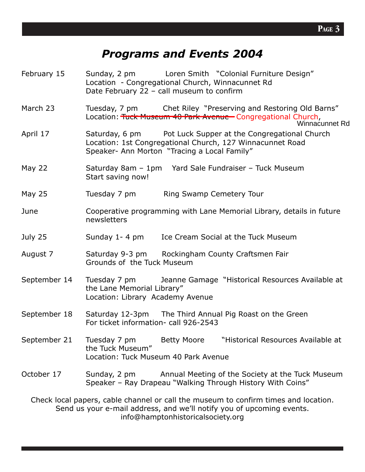### *Programs and Events 2004*

- February 15 Sunday, 2 pm Loren Smith "Colonial Furniture Design" Location - Congregational Church, Winnacunnet Rd Date February 22 – call museum to confirm
- March 23 Tuesday, 7 pm Chet Riley "Preserving and Restoring Old Barns" Location: Tuck Museum 40 Park Avenue Congregational Church,

#### Winnacunnet Rd

- April 17 Saturday, 6 pm Pot Luck Supper at the Congregational Church Location: 1st Congregational Church, 127 Winnacunnet Road Speaker- Ann Morton "Tracing a Local Family"
- May 22 Saturday 8am 1pm Yard Sale Fundraiser Tuck Museum Start saving now!
- May 25 Tuesday 7 pm Ring Swamp Cemetery Tour
- June Cooperative programming with Lane Memorial Library, details in future newsletters
- July 25 Sunday 1- 4 pm Ice Cream Social at the Tuck Museum
- August 7 Saturday 9-3 pm Rockingham County Craftsmen Fair Grounds of the Tuck Museum
- September 14 Tuesday 7 pm Jeanne Gamage "Historical Resources Available at the Lane Memorial Library" Location: Library Academy Avenue
- September 18 Saturday 12-3pm The Third Annual Pig Roast on the Green For ticket information- call 926-2543
- September 21 Tuesday 7 pm Betty Moore "Historical Resources Available at the Tuck Museum" Location: Tuck Museum 40 Park Avenue
- October 17 Sunday, 2 pm Annual Meeting of the Society at the Tuck Museum Speaker – Ray Drapeau "Walking Through History With Coins"

Check local papers, cable channel or call the museum to confirm times and location. Send us your e-mail address, and we'll notify you of upcoming events. info@hamptonhistoricalsociety.org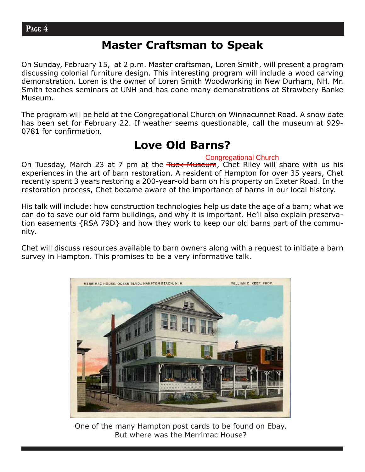### **Master Craftsman to Speak**

On Sunday, February 15, at 2 p.m. Master craftsman, Loren Smith, will present a program discussing colonial furniture design. This interesting program will include a wood carving demonstration. Loren is the owner of Loren Smith Woodworking in New Durham, NH. Mr. Smith teaches seminars at UNH and has done many demonstrations at Strawbery Banke Museum.

The program will be held at the Congregational Church on Winnacunnet Road. A snow date has been set for February 22. If weather seems questionable, call the museum at 929- 0781 for confirmation.

### **Love Old Barns?**

### Congregational Church

On Tuesday, March 23 at 7 pm at the Tuck Museum, Chet Riley will share with us his experiences in the art of barn restoration. A resident of Hampton for over 35 years, Chet recently spent 3 years restoring a 200-year-old barn on his property on Exeter Road. In the restoration process, Chet became aware of the importance of barns in our local history.

His talk will include: how construction technologies help us date the age of a barn; what we can do to save our old farm buildings, and why it is important. He'll also explain preservation easements {RSA 79D} and how they work to keep our old barns part of the community.

Chet will discuss resources available to barn owners along with a request to initiate a barn survey in Hampton. This promises to be a very informative talk.



One of the many Hampton post cards to be found on Ebay. But where was the Merrimac House?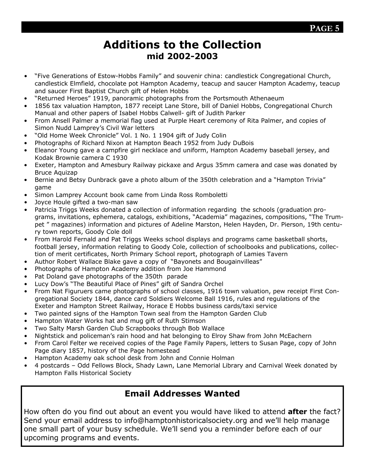### **PAGE 5**

### **Additions to the Collection mid 2002-2003**

- "Five Generations of Estow-Hobbs Family" and souvenir china: candlestick Congregational Church, candlestick Elmfield, chocolate pot Hampton Academy, teacup and saucer Hampton Academy, teacup and saucer First Baptist Church gift of Helen Hobbs
- "Returned Heroes" 1919, panoramic photographs from the Portsmouth Athenaeum
- 1856 tax valuation Hampton, 1877 receipt Lane Store, bill of Daniel Hobbs, Congregational Church Manual and other papers of Isabel Hobbs Calwell- gift of Judith Parker
- From Ansell Palmer a memorial flag used at Purple Heart ceremony of Rita Palmer, and copies of Simon Nudd Lamprey's Civil War letters
- "Old Home Week Chronicle" Vol. 1 No. 1 1904 gift of Judy Colin
- Photographs of Richard Nixon at Hampton Beach 1952 from Judy DuBois
- Eleanor Young gave a campfire girl necklace and uniform, Hampton Academy baseball jersey, and Kodak Brownie camera C 1930
- Exeter, Hampton and Amesbury Railway pickaxe and Argus 35mm camera and case was donated by Bruce Aquizap
- Bernie and Betsy Dunbrack gave a photo album of the 350th celebration and a "Hampton Trivia" game
- Simon Lamprey Account book came from Linda Ross Romboletti
- Joyce Houle gifted a two-man saw
- Patricia Triggs Weeks donated a collection of information regarding the schools (graduation programs, invitations, ephemera, catalogs, exhibitions, "Academia" magazines, compositions, "The Trumpet " magazines) information and pictures of Adeline Marston, Helen Hayden, Dr. Pierson, 19th century town reports, Goody Cole doll
- From Harold Fernald and Pat Triggs Weeks school displays and programs came basketball shorts, football jersey, information relating to Goody Cole, collection of schoolbooks and publications, collection of merit certificates, North Primary School report, photograph of Lamies Tavern
- Author Robert Wallace Blake gave a copy of "Bayonets and Bougainvilleas"
- Photographs of Hampton Academy addition from Joe Hammond
- Pat Doland gave photographs of the 350th parade
- Lucy Dow's "The Beautiful Place of Pines" gift of Sandra Orchel
- From Nat Figuruers came photographs of school classes, 1916 town valuation, pew receipt First Congregational Society 1844, dance card Soldiers Welcome Ball 1916, rules and regulations of the Exeter and Hampton Street Railway, Horace E Hobbs business cards/taxi service
- Two painted signs of the Hampton Town seal from the Hampton Garden Club
- Hampton Water Works hat and mug gift of Ruth Stimson
- Two Salty Marsh Garden Club Scrapbooks through Bob Wallace
- Nightstick and policeman's rain hood and hat belonging to Elroy Shaw from John McEachern
- From Carol Felter we received copies of the Page Family Papers, letters to Susan Page, copy of John Page diary 1857, history of the Page homestead
- Hampton Academy oak school desk from John and Connie Holman
- 4 postcards Odd Fellows Block, Shady Lawn, Lane Memorial Library and Carnival Week donated by Hampton Falls Historical Society

### **Email Addresses Wanted**

How often do you find out about an event you would have liked to attend **after** the fact? Send your email address to info@hamptonhistoricalsociety.org and we'll help manage one small part of your busy schedule. We'll send you a reminder before each of our upcoming programs and events.